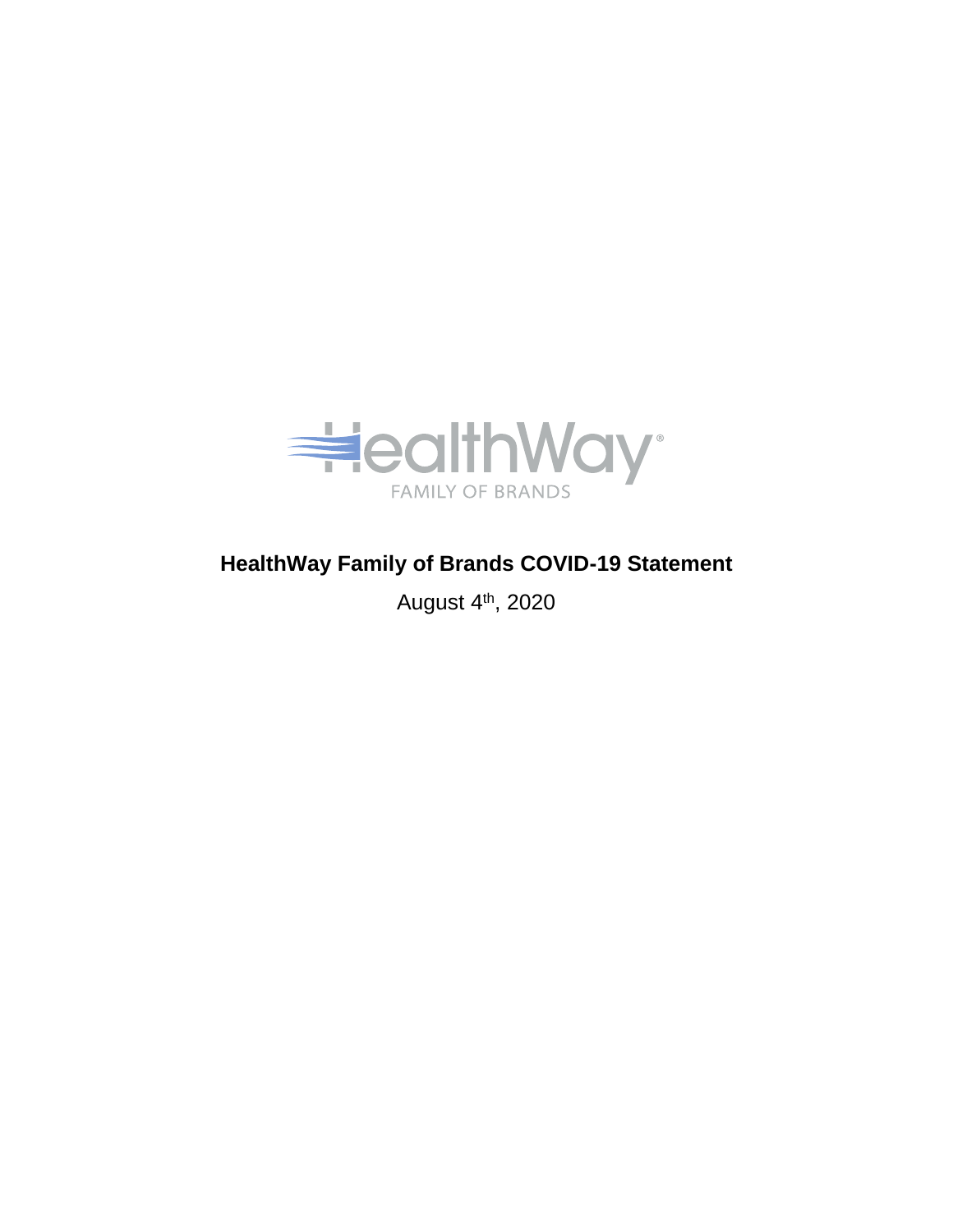

## **HealthWay Family of Brands COVID-19 Statement**

August 4th, 2020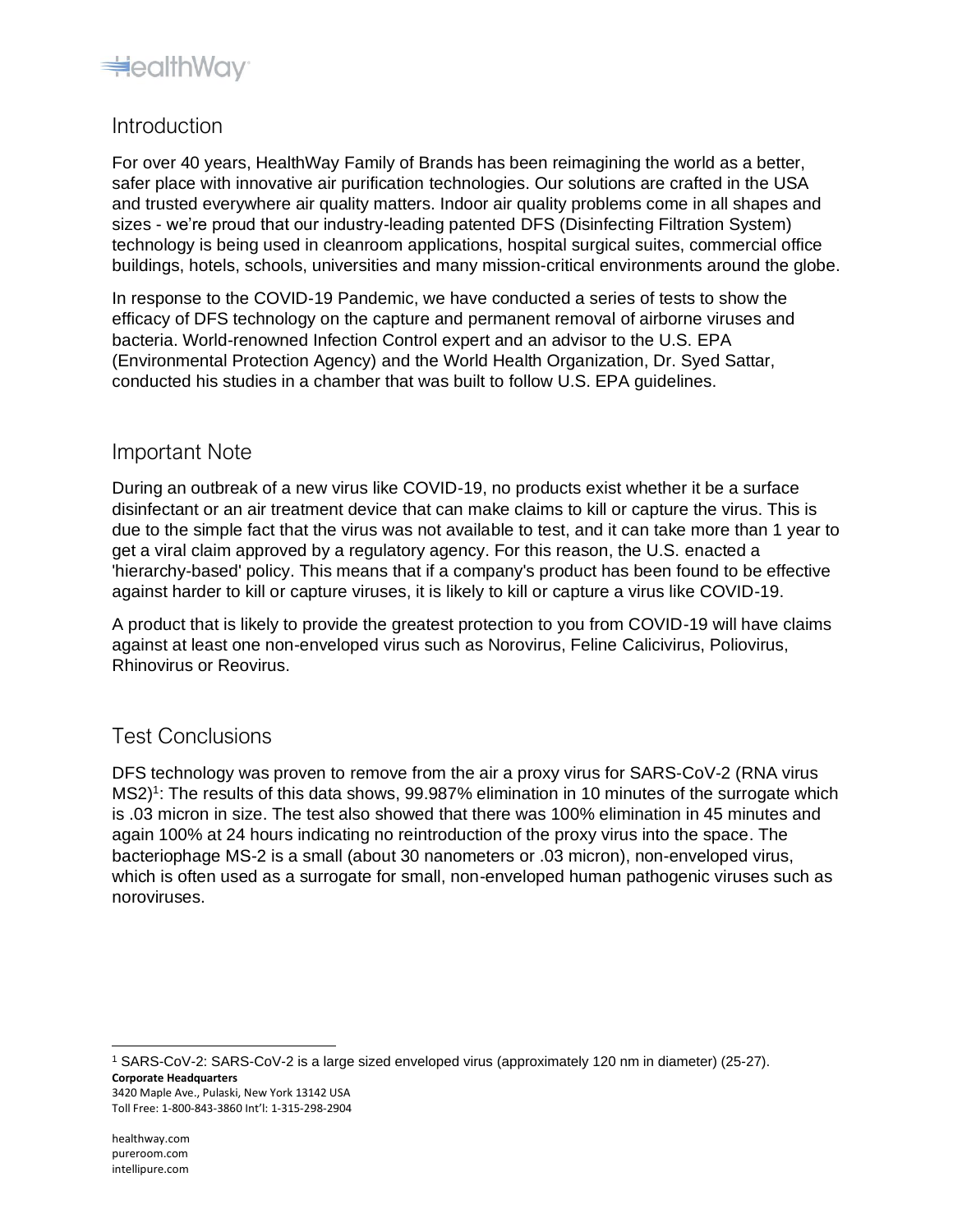

## Introduction

For over 40 years, HealthWay Family of Brands has been reimagining the world as a better, safer place with innovative air purification technologies. Our solutions are crafted in the USA and trusted everywhere air quality matters. Indoor air quality problems come in all shapes and sizes - we're proud that our industry-leading patented DFS (Disinfecting Filtration System) technology is being used in cleanroom applications, hospital surgical suites, commercial office buildings, hotels, schools, universities and many mission-critical environments around the globe.

In response to the COVID-19 Pandemic, we have conducted a series of tests to show the efficacy of DFS technology on the capture and permanent removal of airborne viruses and bacteria. World-renowned Infection Control expert and an advisor to the U.S. EPA (Environmental Protection Agency) and the World Health Organization, Dr. Syed Sattar, conducted his studies in a chamber that was built to follow U.S. EPA guidelines.

## Important Note

During an outbreak of a new virus like COVID-19, no products exist whether it be a surface disinfectant or an air treatment device that can make claims to kill or capture the virus. This is due to the simple fact that the virus was not available to test, and it can take more than 1 year to get a viral claim approved by a regulatory agency. For this reason, the U.S. enacted a 'hierarchy-based' policy. This means that if a company's product has been found to be effective against harder to kill or capture viruses, it is likely to kill or capture a virus like COVID-19.

A product that is likely to provide the greatest protection to you from COVID-19 will have claims against at least one non-enveloped virus such as Norovirus, Feline Calicivirus, Poliovirus, Rhinovirus or Reovirus.

## Test Conclusions

DFS technology was proven to remove from the air a proxy virus for SARS-CoV-2 (RNA virus MS2)<sup>1</sup>: The results of this data shows, 99.987% elimination in 10 minutes of the surrogate which is .03 micron in size. The test also showed that there was 100% elimination in 45 minutes and again 100% at 24 hours indicating no reintroduction of the proxy virus into the space. The bacteriophage MS-2 is a small (about 30 nanometers or .03 micron), non-enveloped virus, which is often used as a surrogate for small, non-enveloped human pathogenic viruses such as noroviruses.

**Corporate Headquarters**  3420 Maple Ave., Pulaski, New York 13142 USA Toll Free: 1-800-843-3860 Int'l: 1-315-298-2904 <sup>1</sup> SARS-CoV-2: SARS-CoV-2 is a large sized enveloped virus (approximately 120 nm in diameter) (25-27).